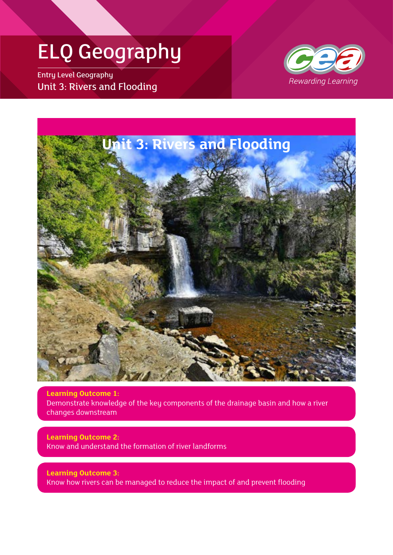#### ELQ Geography

Entry Level Geography Unit 3: Rivers and Flooding





**Learning Outcome 1:** Demonstrate knowledge of the key components of the drainage basin and how a river changes downstream

**Learning Outcome 2:** Know and understand the formation of river landforms

**Learning Outcome 3:** Know how rivers can be managed to reduce the impact of and prevent flooding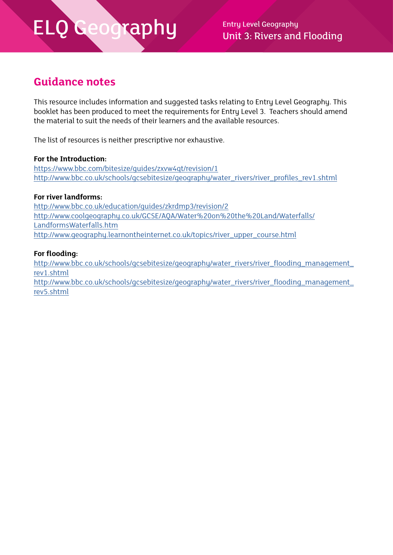Unit 3: Rivers and Flooding

#### **Guidance notes**

This resource includes information and suggested tasks relating to Entry Level Geography. This booklet has been produced to meet the requirements for Entry Level 3. Teachers should amend the material to suit the needs of their learners and the available resources.

The list of resources is neither prescriptive nor exhaustive.

#### **For the Introduction:**

<https://www.bbc.com/bitesize/guides/zxvw4qt/revision/1> [http://www.bbc.co.uk/schools/gcsebitesize/geography/water\\_rivers/river\\_profiles\\_rev1.shtml](http://www.bbc.co.uk/schools/gcsebitesize/geography/water_rivers/river_profiles_rev1.shtml)

#### **For river landforms:**

<http://www.bbc.co.uk/education/guides/zkrdmp3/revision/2> [http://www.coolgeography.co.uk/GCSE/AQA/Water%20on%20the%20Land/Waterfalls/](http://www.coolgeography.co.uk/GCSE/AQA/Water%20on%20the%20Land/Waterfalls/LandformsWaterfalls.htm) [LandformsWaterfalls.htm](http://www.coolgeography.co.uk/GCSE/AQA/Water%20on%20the%20Land/Waterfalls/LandformsWaterfalls.htm) [http://www.geography.learnontheinternet.co.uk/topics/river\\_upper\\_course.html](http://www.geography.learnontheinternet.co.uk/topics/river_upper_course.html)

#### **For flooding:**

[http://www.bbc.co.uk/schools/gcsebitesize/geography/water\\_rivers/river\\_flooding\\_management\\_](http://www.bbc.co.uk/schools/gcsebitesize/geography/water_rivers/river_flooding_management_rev1.shtml) [rev1.shtml](http://www.bbc.co.uk/schools/gcsebitesize/geography/water_rivers/river_flooding_management_rev1.shtml) [http://www.bbc.co.uk/schools/gcsebitesize/geography/water\\_rivers/river\\_flooding\\_management\\_](http://www.bbc.co.uk/schools/gcsebitesize/geography/water_rivers/river_flooding_management_rev5.shtml) [rev5.shtml](http://www.bbc.co.uk/schools/gcsebitesize/geography/water_rivers/river_flooding_management_rev5.shtml)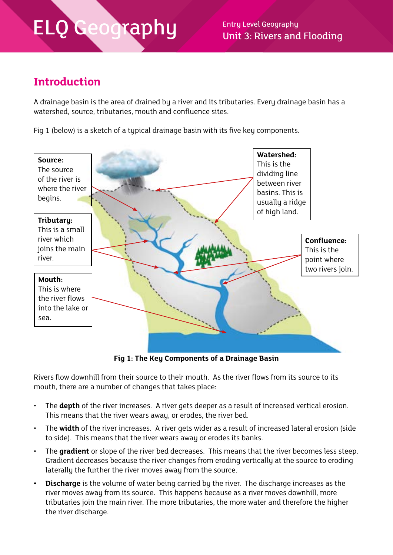Unit 3: Rivers and Flooding

#### **Introduction**

A drainage basin is the area of drained by a river and its tributaries. Every drainage basin has a watershed, source, tributaries, mouth and confluence sites.

Fig 1 (below) is a sketch of a typical drainage basin with its five key components.



**Fig 1: The Key Components of a Drainage Basin**

Rivers flow downhill from their source to their mouth. As the river flows from its source to its mouth, there are a number of changes that takes place:

- The **depth** of the river increases. A river gets deeper as a result of increased vertical erosion. This means that the river wears away, or erodes, the river bed.
- The **width** of the river increases. A river gets wider as a result of increased lateral erosion (side to side). This means that the river wears away or erodes its banks.
- The **gradient** or slope of the river bed decreases. This means that the river becomes less steep. Gradient decreases because the river changes from eroding vertically at the source to eroding laterally the further the river moves away from the source.
- **• Discharge** is the volume of water being carried by the river. The discharge increases as the river moves away from its source. This happens because as a river moves downhill, more tributaries join the main river. The more tributaries, the more water and therefore the higher the river discharge.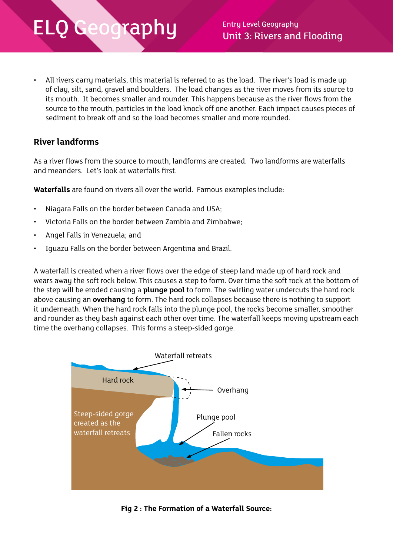• All rivers carry materials, this material is referred to as the load. The river's load is made up of clay, silt, sand, gravel and boulders. The load changes as the river moves from its source to its mouth. It becomes smaller and rounder. This happens because as the river flows from the source to the mouth, particles in the load knock off one another. Each impact causes pieces of sediment to break off and so the load becomes smaller and more rounded.

#### **River landforms**

As a river flows from the source to mouth, landforms are created. Two landforms are waterfalls and meanders. Let's look at waterfalls first.

**Waterfalls** are found on rivers all over the world. Famous examples include:

- Niagara Falls on the border between Canada and USA;
- Victoria Falls on the border between Zambia and Zimbabwe;
- Angel Falls in Venezuela; and
- Iguazu Falls on the border between Argentina and Brazil.

A waterfall is created when a river flows over the edge of steep land made up of hard rock and wears away the soft rock below. This causes a step to form. Over time the soft rock at the bottom of the step will be eroded causing a **plunge pool** to form. The swirling water undercuts the hard rock above causing an **overhang** to form. The hard rock collapses because there is nothing to support it underneath. When the hard rock falls into the plunge pool, the rocks become smaller, smoother and rounder as they bash against each other over time. The waterfall keeps moving upstream each time the overhang collapses. This forms a steep-sided gorge.



**Fig 2 : The Formation of a Waterfall Source:**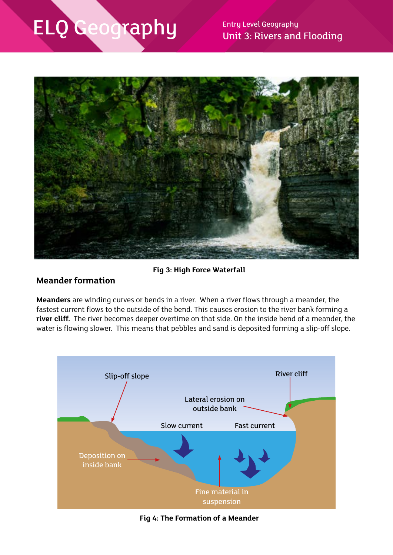Unit 3: Rivers and Flooding



#### **Fig 3: High Force Waterfall**

#### **Meander formation**

**Meanders** are winding curves or bends in a river. When a river flows through a meander, the fastest current flows to the outside of the bend. This causes erosion to the river bank forming a **river cliff.** The river becomes deeper overtime on that side. On the inside bend of a meander, the water is flowing slower. This means that pebbles and sand is deposited forming a slip-off slope.



**Fig 4: The Formation of a Meander**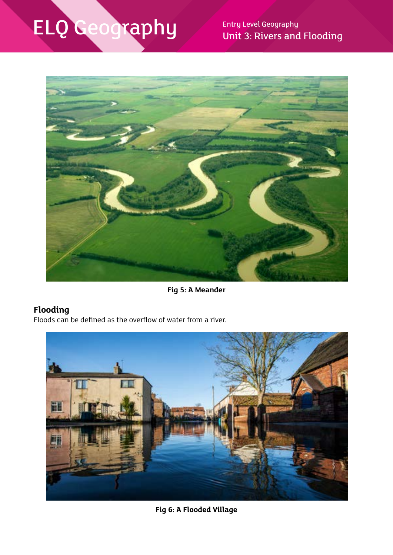Unit 3: Rivers and Flooding



**Fig 5: A Meander** 

#### **Flooding**

Floods can be defined as the overflow of water from a river.



**Fig 6: A Flooded Village**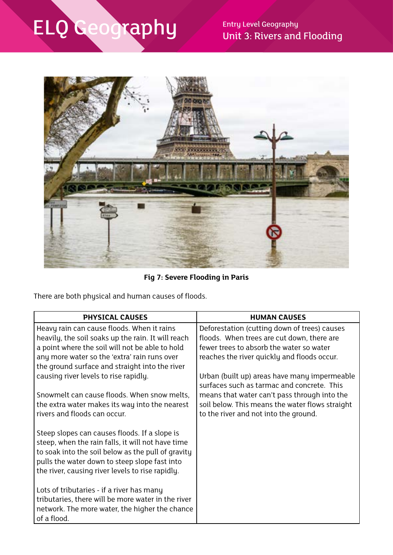#### Unit 3: Rivers and Flooding



**Fig 7: Severe Flooding in Paris**

There are both physical and human causes of floods.

| <b>PHYSICAL CAUSES</b>                             | <b>HUMAN CAUSES</b>                             |
|----------------------------------------------------|-------------------------------------------------|
| Heavy rain can cause floods. When it rains         | Deforestation (cutting down of trees) causes    |
| heavily, the soil soaks up the rain. It will reach | floods. When trees are cut down, there are      |
| a point where the soil will not be able to hold    | fewer trees to absorb the water so water        |
| any more water so the 'extra' rain runs over       | reaches the river quickly and floods occur.     |
| the ground surface and straight into the river     |                                                 |
| causing river levels to rise rapidly.              | Urban (built up) areas have many impermeable    |
|                                                    | surfaces such as tarmac and concrete. This      |
| Snowmelt can cause floods. When snow melts,        | means that water can't pass through into the    |
| the extra water makes its way into the nearest     | soil below. This means the water flows straight |
| rivers and floods can occur.                       | to the river and not into the ground.           |
| Steep slopes can causes floods. If a slope is      |                                                 |
| steep, when the rain falls, it will not have time  |                                                 |
| to soak into the soil below as the pull of gravity |                                                 |
| pulls the water down to steep slope fast into      |                                                 |
| the river, causing river levels to rise rapidly.   |                                                 |
|                                                    |                                                 |
| Lots of tributaries - if a river has many          |                                                 |
| tributaries, there will be more water in the river |                                                 |
| network. The more water, the higher the chance     |                                                 |
| of a flood.                                        |                                                 |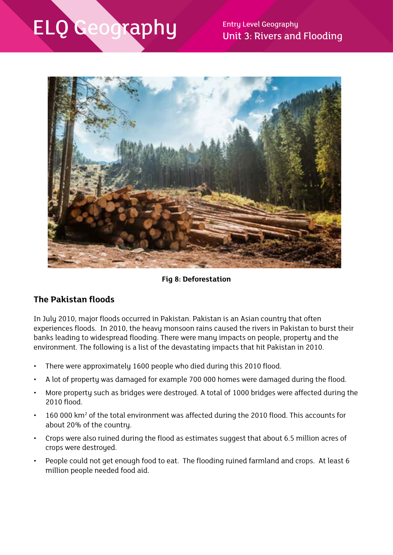Unit 3: Rivers and Flooding



**Fig 8: Deforestation**

#### **The Pakistan floods**

In July 2010, major floods occurred in Pakistan. Pakistan is an Asian country that often experiences floods. In 2010, the heavy monsoon rains caused the rivers in Pakistan to burst their banks leading to widespread flooding. There were many impacts on people, property and the environment. The following is a list of the devastating impacts that hit Pakistan in 2010.

- There were approximately 1600 people who died during this 2010 flood.
- A lot of property was damaged for example 700 000 homes were damaged during the flood.
- More property such as bridges were destroyed. A total of 1000 bridges were affected during the 2010 flood.
- 160 000 km<sup>2</sup> of the total environment was affected during the 2010 flood. This accounts for about 20% of the country.
- Crops were also ruined during the flood as estimates suggest that about 6.5 million acres of crops were destroyed.
- People could not get enough food to eat. The flooding ruined farmland and crops. At least 6 million people needed food aid.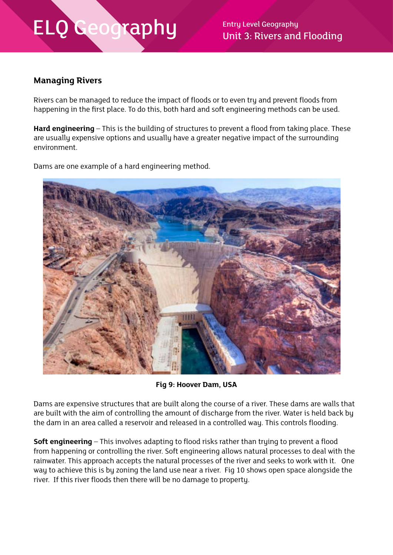Unit 3: Rivers and Flooding

#### **Managing Rivers**

Rivers can be managed to reduce the impact of floods or to even try and prevent floods from happening in the first place. To do this, both hard and soft engineering methods can be used.

**Hard engineering** – This is the building of structures to prevent a flood from taking place. These are usually expensive options and usually have a greater negative impact of the surrounding environment.

Dams are one example of a hard engineering method.



**Fig 9: Hoover Dam, USA**

Dams are expensive structures that are built along the course of a river. These dams are walls that are built with the aim of controlling the amount of discharge from the river. Water is held back by the dam in an area called a reservoir and released in a controlled way. This controls flooding.

**Soft engineering** – This involves adapting to flood risks rather than trying to prevent a flood from happening or controlling the river. Soft engineering allows natural processes to deal with the rainwater. This approach accepts the natural processes of the river and seeks to work with it. One way to achieve this is by zoning the land use near a river. Fig 10 shows open space alongside the river. If this river floods then there will be no damage to property.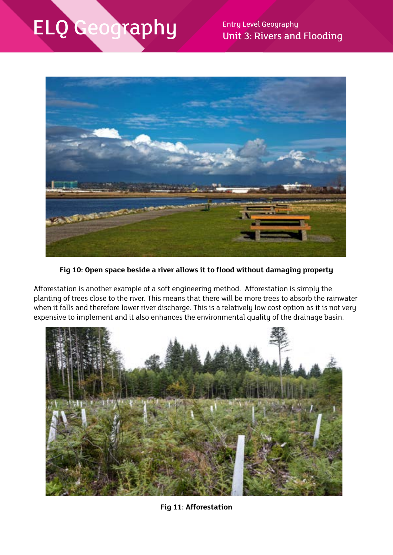Unit 3: Rivers and Flooding



**Fig 10: Open space beside a river allows it to flood without damaging property**

Afforestation is another example of a soft engineering method. Afforestation is simply the planting of trees close to the river. This means that there will be more trees to absorb the rainwater when it falls and therefore lower river discharge. This is a relatively low cost option as it is not very expensive to implement and it also enhances the environmental quality of the drainage basin.



**Fig 11: Afforestation**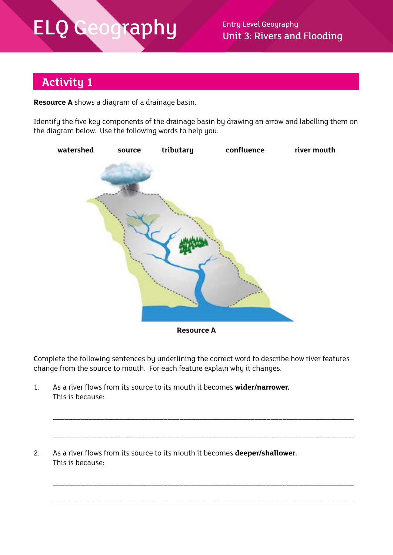Unit 3: Rivers and Flooding

#### **Activity 1**

**Resource A** shows a diagram of a drainage basin.

Identify the five key components of the drainage basin by drawing an arrow and labelling them on the diagram below. Use the following words to help you.



Complete the following sentences by underlining the correct word to describe how river features change from the source to mouth. For each feature explain why it changes.

\_\_\_\_\_\_\_\_\_\_\_\_\_\_\_\_\_\_\_\_\_\_\_\_\_\_\_\_\_\_\_\_\_\_\_\_\_\_\_\_\_\_\_\_\_\_\_\_\_\_\_\_\_\_\_\_\_\_\_\_\_\_\_\_\_\_\_\_\_\_\_\_\_\_\_\_

\_\_\_\_\_\_\_\_\_\_\_\_\_\_\_\_\_\_\_\_\_\_\_\_\_\_\_\_\_\_\_\_\_\_\_\_\_\_\_\_\_\_\_\_\_\_\_\_\_\_\_\_\_\_\_\_\_\_\_\_\_\_\_\_\_\_\_\_\_\_\_\_\_\_\_\_

\_\_\_\_\_\_\_\_\_\_\_\_\_\_\_\_\_\_\_\_\_\_\_\_\_\_\_\_\_\_\_\_\_\_\_\_\_\_\_\_\_\_\_\_\_\_\_\_\_\_\_\_\_\_\_\_\_\_\_\_\_\_\_\_\_\_\_\_\_\_\_\_\_\_\_\_

\_\_\_\_\_\_\_\_\_\_\_\_\_\_\_\_\_\_\_\_\_\_\_\_\_\_\_\_\_\_\_\_\_\_\_\_\_\_\_\_\_\_\_\_\_\_\_\_\_\_\_\_\_\_\_\_\_\_\_\_\_\_\_\_\_\_\_\_\_\_\_\_\_\_\_\_

1. As a river flows from its source to its mouth it becomes **wider/narrower.** This is because:

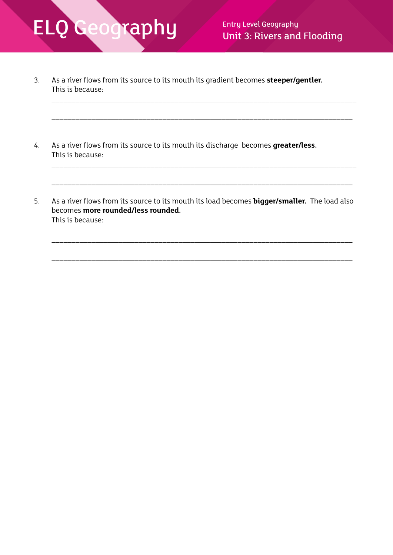Unit 3: Rivers and Flooding

3. As a river flows from its source to its mouth its gradient becomes **steeper/gentler.** This is because:

\_\_\_\_\_\_\_\_\_\_\_\_\_\_\_\_\_\_\_\_\_\_\_\_\_\_\_\_\_\_\_\_\_\_\_\_\_\_\_\_\_\_\_\_\_\_\_\_\_\_\_\_\_\_\_\_\_\_\_\_\_\_\_\_\_\_\_\_\_\_\_\_\_\_\_\_\_

\_\_\_\_\_\_\_\_\_\_\_\_\_\_\_\_\_\_\_\_\_\_\_\_\_\_\_\_\_\_\_\_\_\_\_\_\_\_\_\_\_\_\_\_\_\_\_\_\_\_\_\_\_\_\_\_\_\_\_\_\_\_\_\_\_\_\_\_\_\_\_\_\_\_\_\_

\_\_\_\_\_\_\_\_\_\_\_\_\_\_\_\_\_\_\_\_\_\_\_\_\_\_\_\_\_\_\_\_\_\_\_\_\_\_\_\_\_\_\_\_\_\_\_\_\_\_\_\_\_\_\_\_\_\_\_\_\_\_\_\_\_\_\_\_\_\_\_\_\_\_\_\_\_

\_\_\_\_\_\_\_\_\_\_\_\_\_\_\_\_\_\_\_\_\_\_\_\_\_\_\_\_\_\_\_\_\_\_\_\_\_\_\_\_\_\_\_\_\_\_\_\_\_\_\_\_\_\_\_\_\_\_\_\_\_\_\_\_\_\_\_\_\_\_\_\_\_\_\_\_

\_\_\_\_\_\_\_\_\_\_\_\_\_\_\_\_\_\_\_\_\_\_\_\_\_\_\_\_\_\_\_\_\_\_\_\_\_\_\_\_\_\_\_\_\_\_\_\_\_\_\_\_\_\_\_\_\_\_\_\_\_\_\_\_\_\_\_\_\_\_\_\_\_\_\_\_

\_\_\_\_\_\_\_\_\_\_\_\_\_\_\_\_\_\_\_\_\_\_\_\_\_\_\_\_\_\_\_\_\_\_\_\_\_\_\_\_\_\_\_\_\_\_\_\_\_\_\_\_\_\_\_\_\_\_\_\_\_\_\_\_\_\_\_\_\_\_\_\_\_\_\_\_

- 4. As a river flows from its source to its mouth its discharge becomes **greater/less.** This is because:
- 5. As a river flows from its source to its mouth its load becomes **bigger/smaller.** The load also becomes **more rounded/less rounded.** This is because: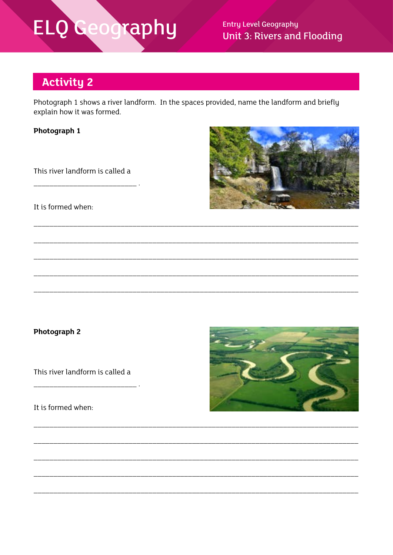# **ELQ Geography**

**Entry Level Geography Unit 3: Rivers and Flooding** 

#### **Activity 2**

Photograph 1 shows a river landform. In the spaces provided, name the landform and briefly explain how it was formed.

Photograph 1

This river landform is called a

It is formed when:

#### Photograph 2

This river landform is called a

 $\overline{\phantom{a}}$ .

It is formed when:



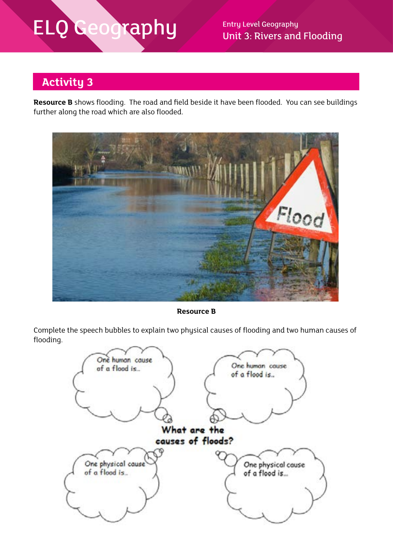Unit 3: Rivers and Flooding

#### **Activity 3**

**Resource B** shows flooding. The road and field beside it have been flooded. You can see buildings further along the road which are also flooded.



**Resource B**

Complete the speech bubbles to explain two physical causes of flooding and two human causes of flooding.

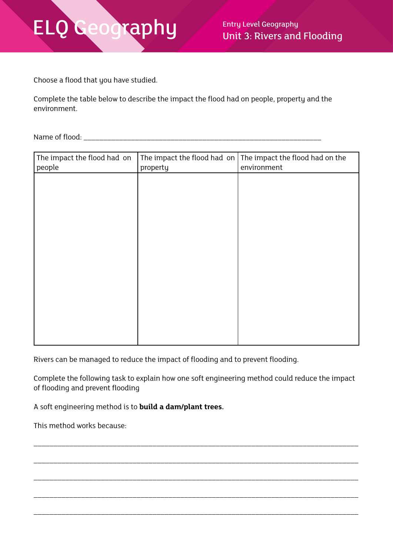Unit 3: Rivers and Flooding

Choose a flood that you have studied.

Complete the table below to describe the impact the flood had on people, property and the environment.

Name of flood: \_\_\_\_\_\_\_\_\_\_\_\_\_\_\_\_\_\_\_\_\_\_\_\_\_\_\_\_\_\_\_\_\_\_\_\_\_\_\_\_\_\_\_\_\_\_\_\_\_\_\_\_\_\_\_\_\_\_\_\_

| The impact the flood had on<br>people | property | The impact the flood had on $\vert$ The impact the flood had on the<br>environment |
|---------------------------------------|----------|------------------------------------------------------------------------------------|
|                                       |          |                                                                                    |
|                                       |          |                                                                                    |
|                                       |          |                                                                                    |
|                                       |          |                                                                                    |
|                                       |          |                                                                                    |
|                                       |          |                                                                                    |
|                                       |          |                                                                                    |
|                                       |          |                                                                                    |
|                                       |          |                                                                                    |

Rivers can be managed to reduce the impact of flooding and to prevent flooding.

Complete the following task to explain how one soft engineering method could reduce the impact of flooding and prevent flooding

\_\_\_\_\_\_\_\_\_\_\_\_\_\_\_\_\_\_\_\_\_\_\_\_\_\_\_\_\_\_\_\_\_\_\_\_\_\_\_\_\_\_\_\_\_\_\_\_\_\_\_\_\_\_\_\_\_\_\_\_\_\_\_\_\_\_\_\_\_\_\_\_\_\_\_\_\_\_\_\_\_\_

\_\_\_\_\_\_\_\_\_\_\_\_\_\_\_\_\_\_\_\_\_\_\_\_\_\_\_\_\_\_\_\_\_\_\_\_\_\_\_\_\_\_\_\_\_\_\_\_\_\_\_\_\_\_\_\_\_\_\_\_\_\_\_\_\_\_\_\_\_\_\_\_\_\_\_\_\_\_\_\_\_\_

\_\_\_\_\_\_\_\_\_\_\_\_\_\_\_\_\_\_\_\_\_\_\_\_\_\_\_\_\_\_\_\_\_\_\_\_\_\_\_\_\_\_\_\_\_\_\_\_\_\_\_\_\_\_\_\_\_\_\_\_\_\_\_\_\_\_\_\_\_\_\_\_\_\_\_\_\_\_\_\_\_\_

\_\_\_\_\_\_\_\_\_\_\_\_\_\_\_\_\_\_\_\_\_\_\_\_\_\_\_\_\_\_\_\_\_\_\_\_\_\_\_\_\_\_\_\_\_\_\_\_\_\_\_\_\_\_\_\_\_\_\_\_\_\_\_\_\_\_\_\_\_\_\_\_\_\_\_\_\_\_\_\_\_\_

\_\_\_\_\_\_\_\_\_\_\_\_\_\_\_\_\_\_\_\_\_\_\_\_\_\_\_\_\_\_\_\_\_\_\_\_\_\_\_\_\_\_\_\_\_\_\_\_\_\_\_\_\_\_\_\_\_\_\_\_\_\_\_\_\_\_\_\_\_\_\_\_\_\_\_\_\_\_\_\_\_\_

A soft engineering method is to **build a dam/plant trees.**

This method works because: